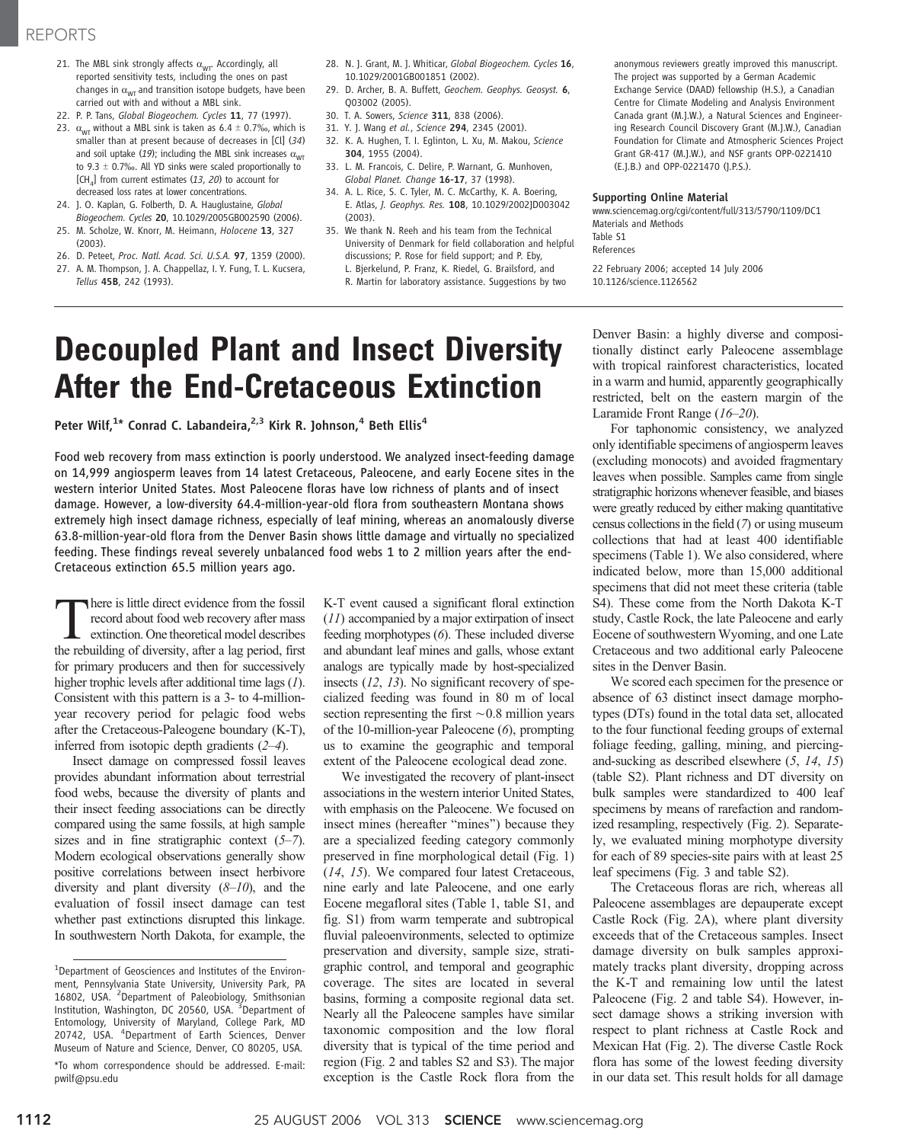## REPORTS

- 21. The MBL sink strongly affects  $\alpha_{\text{WT}}$ . Accordingly, all reported sensitivity tests, including the ones on past changes in  $\alpha_{WT}$  and transition isotope budgets, have been carried out with and without a MBL sink.
- 22. P. P. Tans, Global Biogeochem. Cycles 11, 77 (1997).
- 23.  $\alpha_{\text{wr}}$  without a MBL sink is taken as 6.4  $\pm$  0.7‰, which is smaller than at present because of decreases in [Cl] (34) and soil uptake (19); including the MBL sink increases  $\alpha_{\text{WT}}$ to 9.3  $\pm$  0.7‰. All YD sinks were scaled proportionally to  $[CH<sub>4</sub>]$  from current estimates (13, 20) to account for decreased loss rates at lower concentrations.
- 24. J. O. Kaplan, G. Folberth, D. A. Hauglustaine, Global Biogeochem. Cycles 20, 10.1029/2005GB002590 (2006).
- 25. M. Scholze, W. Knorr, M. Heimann, Holocene 13, 327 (2003).
- 26. D. Peteet, Proc. Natl. Acad. Sci. U.S.A. 97, 1359 (2000).
- 27. A. M. Thompson, J. A. Chappellaz, I. Y. Fung, T. L. Kucsera, Tellus 45B, 242 (1993).
- 28. N. J. Grant, M. J. Whiticar, Global Biogeochem. Cycles 16, 10.1029/2001GB001851 (2002).
- 29. D. Archer, B. A. Buffett, Geochem. Geophys. Geosyst. 6, Q03002 (2005).
- 30. T. A. Sowers, Science 311, 838 (2006).
- 31. Y. J. Wang et al., Science 294, 2345 (2001).
- 32. K. A. Hughen, T. I. Eglinton, L. Xu, M. Makou, Science 304, 1955 (2004).
- 33. L. M. Francois, C. Delire, P. Warnant, G. Munhoven, Global Planet. Change 16-17, 37 (1998).
- 34. A. L. Rice, S. C. Tyler, M. C. McCarthy, K. A. Boering, E. Atlas, J. Geophys. Res. 108, 10.1029/2002JD003042 (2003).
- 35. We thank N. Reeh and his team from the Technical University of Denmark for field collaboration and helpful discussions; P. Rose for field support; and P. Eby, L. Bjerkelund, P. Franz, K. Riedel, G. Brailsford, and
	- R. Martin for laboratory assistance. Suggestions by two

anonymous reviewers greatly improved this manuscript. The project was supported by a German Academic Exchange Service (DAAD) fellowship (H.S.), a Canadian Centre for Climate Modeling and Analysis Environment Canada grant (M.J.W.), a Natural Sciences and Engineering Research Council Discovery Grant (M.J.W.), Canadian Foundation for Climate and Atmospheric Sciences Project Grant GR-417 (M.J.W.), and NSF grants OPP-0221410 (E.J.B.) and OPP-0221470 (J.P.S.).

#### Supporting Online Material

www.sciencemag.org/cgi/content/full/313/5790/1109/DC1 Materials and Methods Table S1 References 22 February 2006; accepted 14 July 2006 10.1126/science.1126562

## Decoupled Plant and Insect Diversity After the End-Cretaceous Extinction

Peter Wilf,<sup>1\*</sup> Conrad C. Labandeira,<sup>2,3</sup> Kirk R. Johnson,<sup>4</sup> Beth Ellis<sup>4</sup>

Food web recovery from mass extinction is poorly understood. We analyzed insect-feeding damage on 14,999 angiosperm leaves from 14 latest Cretaceous, Paleocene, and early Eocene sites in the western interior United States. Most Paleocene floras have low richness of plants and of insect damage. However, a low-diversity 64.4-million-year-old flora from southeastern Montana shows extremely high insect damage richness, especially of leaf mining, whereas an anomalously diverse 63.8-million-year-old flora from the Denver Basin shows little damage and virtually no specialized feeding. These findings reveal severely unbalanced food webs 1 to 2 million years after the end-Cretaceous extinction 65.5 million years ago.

There is little direct evidence from the fossil record about food web recovery after mass extinction. One theoretical model describes the rebuilding of diversity, after a lag period, first for primary producers and then for successively higher trophic levels after additional time lags (1). Consistent with this pattern is a 3- to 4-millionyear recovery period for pelagic food webs after the Cretaceous-Paleogene boundary (K-T), inferred from isotopic depth gradients (2–4).

Insect damage on compressed fossil leaves provides abundant information about terrestrial food webs, because the diversity of plants and their insect feeding associations can be directly compared using the same fossils, at high sample sizes and in fine stratigraphic context  $(5-7)$ . Modern ecological observations generally show positive correlations between insect herbivore diversity and plant diversity  $(8-10)$ , and the evaluation of fossil insect damage can test whether past extinctions disrupted this linkage. In southwestern North Dakota, for example, the

K-T event caused a significant floral extinction (11) accompanied by a major extirpation of insect feeding morphotypes (6). These included diverse and abundant leaf mines and galls, whose extant analogs are typically made by host-specialized insects (12, 13). No significant recovery of specialized feeding was found in 80 m of local section representing the first  $\sim 0.8$  million years of the 10-million-year Paleocene (6), prompting us to examine the geographic and temporal extent of the Paleocene ecological dead zone.

We investigated the recovery of plant-insect associations in the western interior United States, with emphasis on the Paleocene. We focused on insect mines (hereafter "mines") because they are a specialized feeding category commonly preserved in fine morphological detail (Fig. 1) (14, 15). We compared four latest Cretaceous, nine early and late Paleocene, and one early Eocene megafloral sites (Table 1, table S1, and fig. S1) from warm temperate and subtropical fluvial paleoenvironments, selected to optimize preservation and diversity, sample size, stratigraphic control, and temporal and geographic coverage. The sites are located in several basins, forming a composite regional data set. Nearly all the Paleocene samples have similar taxonomic composition and the low floral diversity that is typical of the time period and region (Fig. 2 and tables S2 and S3). The major exception is the Castle Rock flora from the

Denver Basin: a highly diverse and compositionally distinct early Paleocene assemblage with tropical rainforest characteristics, located in a warm and humid, apparently geographically restricted, belt on the eastern margin of the Laramide Front Range (16–20).

For taphonomic consistency, we analyzed only identifiable specimens of angiosperm leaves (excluding monocots) and avoided fragmentary leaves when possible. Samples came from single stratigraphic horizons whenever feasible, and biases were greatly reduced by either making quantitative census collections in the field (7) or using museum collections that had at least 400 identifiable specimens (Table 1). We also considered, where indicated below, more than 15,000 additional specimens that did not meet these criteria (table S4). These come from the North Dakota K-T study, Castle Rock, the late Paleocene and early Eocene of southwestern Wyoming, and one Late Cretaceous and two additional early Paleocene sites in the Denver Basin.

We scored each specimen for the presence or absence of 63 distinct insect damage morphotypes (DTs) found in the total data set, allocated to the four functional feeding groups of external foliage feeding, galling, mining, and piercingand-sucking as described elsewhere (5, 14, 15) (table S2). Plant richness and DT diversity on bulk samples were standardized to 400 leaf specimens by means of rarefaction and randomized resampling, respectively (Fig. 2). Separately, we evaluated mining morphotype diversity for each of 89 species-site pairs with at least 25 leaf specimens (Fig. 3 and table S2).

The Cretaceous floras are rich, whereas all Paleocene assemblages are depauperate except Castle Rock (Fig. 2A), where plant diversity exceeds that of the Cretaceous samples. Insect damage diversity on bulk samples approximately tracks plant diversity, dropping across the K-T and remaining low until the latest Paleocene (Fig. 2 and table S4). However, insect damage shows a striking inversion with respect to plant richness at Castle Rock and Mexican Hat (Fig. 2). The diverse Castle Rock flora has some of the lowest feeding diversity in our data set. This result holds for all damage

<sup>&</sup>lt;sup>1</sup>Department of Geosciences and Institutes of the Environment, Pennsylvania State University, University Park, PA 16802, USA. <sup>2</sup>Department of Paleobiology, Smithsonian Institution, Washington, DC 20560, USA. <sup>3</sup> Department of Entomology, University of Maryland, College Park, MD 20742, USA. <sup>4</sup> Department of Earth Sciences, Denver Museum of Nature and Science, Denver, CO 80205, USA.

<sup>\*</sup>To whom correspondence should be addressed. E-mail: pwilf@psu.edu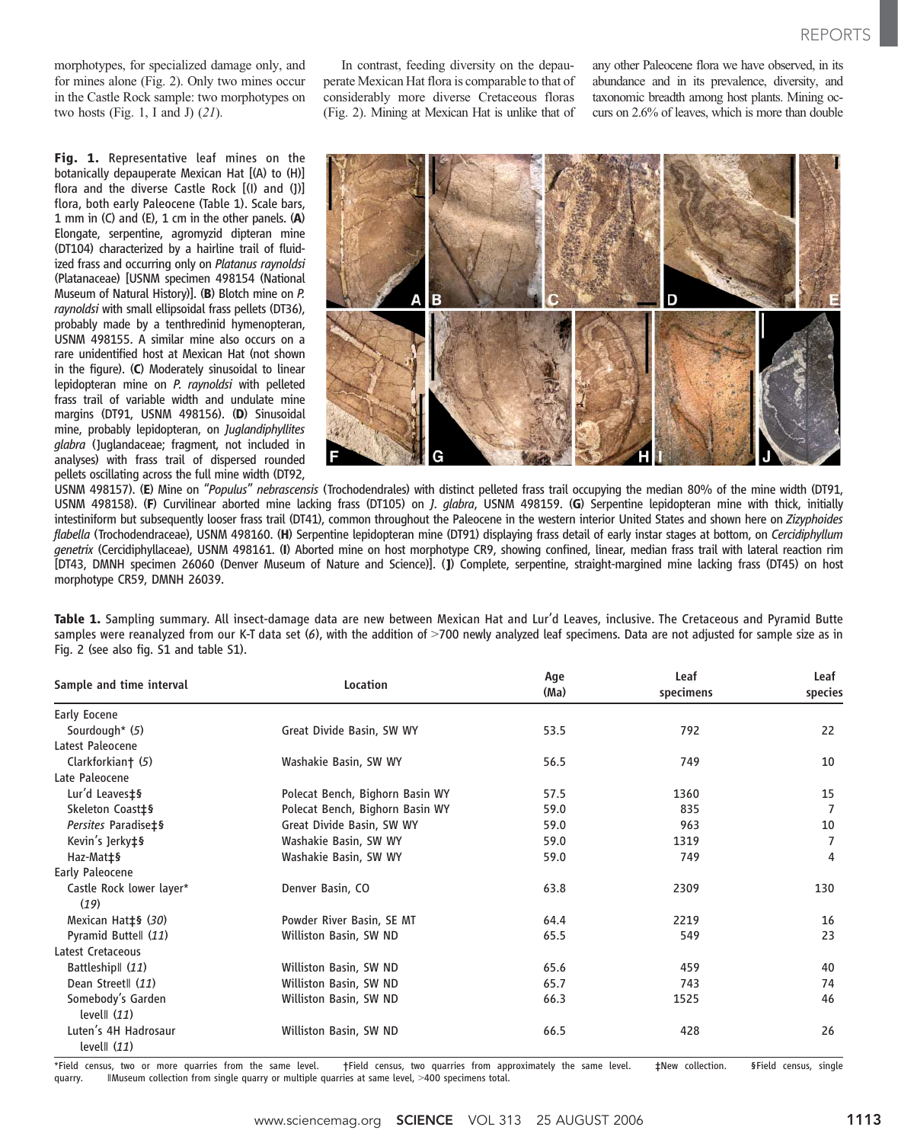morphotypes, for specialized damage only, and for mines alone (Fig. 2). Only two mines occur in the Castle Rock sample: two morphotypes on two hosts (Fig. 1, I and J)  $(2I)$ .

Fig. 1. Representative leaf mines on the botanically depauperate Mexican Hat [(A) to (H)] flora and the diverse Castle Rock [(I) and (J)] flora, both early Paleocene (Table 1). Scale bars, 1 mm in (C) and (E), 1 cm in the other panels. (A) Elongate, serpentine, agromyzid dipteran mine (DT104) characterized by a hairline trail of fluidized frass and occurring only on Platanus raynoldsi (Platanaceae) [USNM specimen 498154 (National Museum of Natural History)]. (B) Blotch mine on P. raynoldsi with small ellipsoidal frass pellets (DT36), probably made by a tenthredinid hymenopteran, USNM 498155. A similar mine also occurs on a rare unidentified host at Mexican Hat (not shown in the figure). (C) Moderately sinusoidal to linear lepidopteran mine on P. raynoldsi with pelleted frass trail of variable width and undulate mine margins (DT91, USNM 498156). (D) Sinusoidal mine, probably lepidopteran, on Juglandiphyllites glabra (Juglandaceae; fragment, not included in analyses) with frass trail of dispersed rounded pellets oscillating across the full mine width (DT92,

In contrast, feeding diversity on the depauperate Mexican Hat flora is comparable to that of considerably more diverse Cretaceous floras (Fig. 2). Mining at Mexican Hat is unlike that of

any other Paleocene flora we have observed, in its abundance and in its prevalence, diversity, and taxonomic breadth among host plants. Mining occurs on 2.6% of leaves, which is more than double



USNM 498157). (E) Mine on "Populus" nebrascensis (Trochodendrales) with distinct pelleted frass trail occupying the median 80% of the mine width (DT91, USNM 498158). (F) Curvilinear aborted mine lacking frass (DT105) on J. glabra, USNM 498159. (G) Serpentine lepidopteran mine with thick, initially intestiniform but subsequently looser frass trail (DT41), common throughout the Paleocene in the western interior United States and shown here on Zizyphoides flabella (Trochodendraceae), USNM 498160. (H) Serpentine lepidopteran mine (DT91) displaying frass detail of early instar stages at bottom, on Cercidiphyllum genetrix (Cercidiphyllaceae), USNM 498161. (I) Aborted mine on host morphotype CR9, showing confined, linear, median frass trail with lateral reaction rim [DT43, DMNH specimen 26060 (Denver Museum of Nature and Science)]. (J) Complete, serpentine, straight-margined mine lacking frass (DT45) on host morphotype CR59, DMNH 26039.

Table 1. Sampling summary. All insect-damage data are new between Mexican Hat and Lur'd Leaves, inclusive. The Cretaceous and Pyramid Butte samples were reanalyzed from our K-T data set (6), with the addition of >700 newly analyzed leaf specimens. Data are not adjusted for sample size as in Fig. 2 (see also fig. S1 and table S1).

| Sample and time interval             | Location                        | Age<br>(Ma) | Leaf<br>specimens | Leaf<br>species |
|--------------------------------------|---------------------------------|-------------|-------------------|-----------------|
| Early Eocene                         |                                 |             |                   |                 |
| Sourdough* (5)                       | Great Divide Basin, SW WY       | 53.5        | 792               | 22              |
| Latest Paleocene                     |                                 |             |                   |                 |
| Clarkforkian† (5)                    | Washakie Basin, SW WY           | 56.5        | 749               | 10              |
| Late Paleocene                       |                                 |             |                   |                 |
| Lur'd Leaves‡§                       | Polecat Bench, Bighorn Basin WY | 57.5        | 1360              | 15              |
| Skeleton Coast‡§                     | Polecat Bench, Bighorn Basin WY | 59.0        | 835               |                 |
| Persites Paradise‡§                  | Great Divide Basin, SW WY       | 59.0        | 963               | 10              |
| Kevin's Jerky‡§                      | Washakie Basin, SW WY           | 59.0        | 1319              |                 |
| Haz-Mat‡§                            | Washakie Basin, SW WY           | 59.0        | 749               | 4               |
| Early Paleocene                      |                                 |             |                   |                 |
| Castle Rock lower layer*             | Denver Basin, CO                | 63.8        | 2309              | 130             |
| (19)                                 |                                 |             |                   |                 |
| Mexican Hat‡§ (30)                   | Powder River Basin, SE MT       | 64.4        | 2219              | 16              |
| Pyramid Buttell (11)                 | Williston Basin, SW ND          | 65.5        | 549               | 23              |
| Latest Cretaceous                    |                                 |             |                   |                 |
| Battleshipll (11)                    | Williston Basin, SW ND          | 65.6        | 459               | 40              |
| Dean Street (11)                     | Williston Basin, SW ND          | 65.7        | 743               | 74              |
| Somebody's Garden<br>level $(11)$    | Williston Basin, SW ND          | 66.3        | 1525              | 46              |
| Luten's 4H Hadrosaur<br>level $(11)$ | Williston Basin, SW ND          | 66.5        | 428               | 26              |

\*Field census, two or more quarries from the same level. †Field census, two quarries from approximately the same level. ‡New collection. §Field census, single quarry. 
Museum collection from single quarry or multiple quarries at same level, >400 specimens total.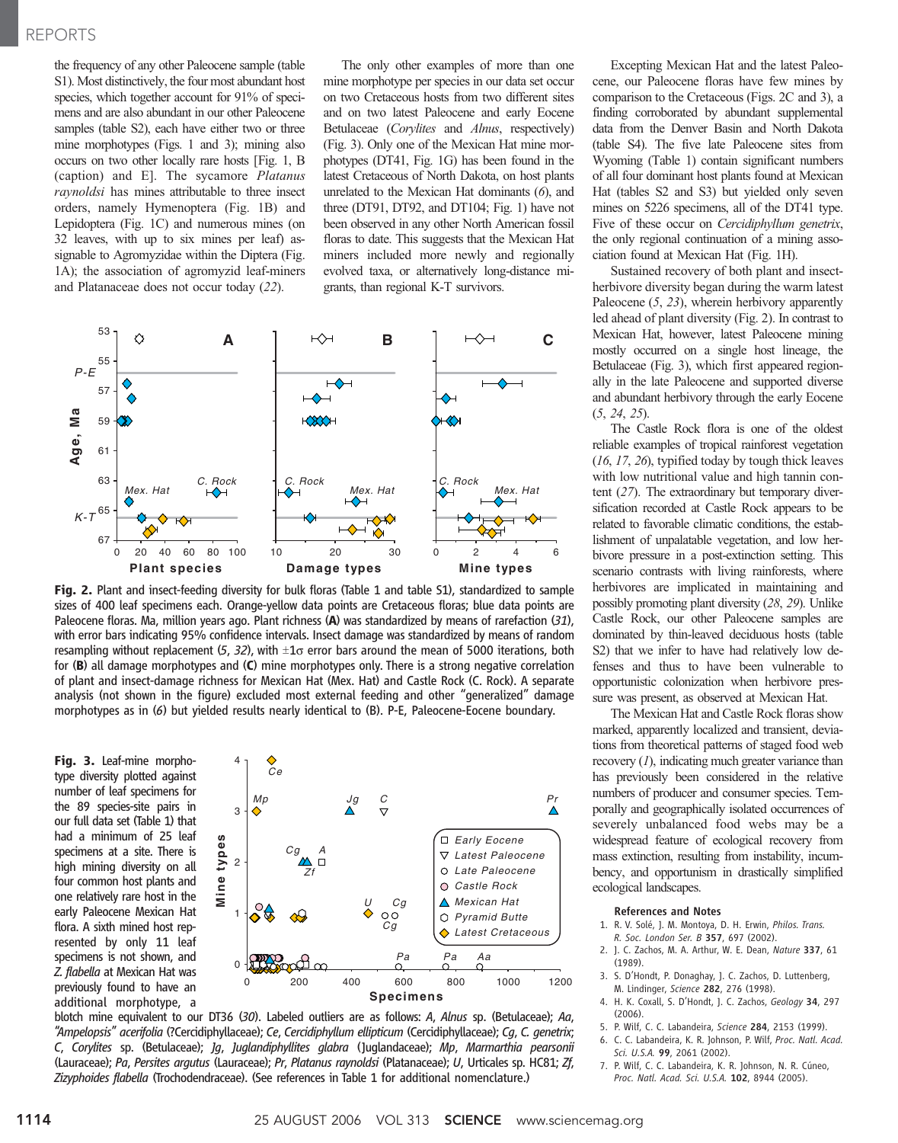### REPORTS

the frequency of any other Paleocene sample (table S1). Most distinctively, the four most abundant host species, which together account for 91% of specimens and are also abundant in our other Paleocene samples (table S2), each have either two or three mine morphotypes (Figs. 1 and 3); mining also occurs on two other locally rare hosts EFig. 1, B (caption) and E]. The sycamore Platanus raynoldsi has mines attributable to three insect orders, namely Hymenoptera (Fig. 1B) and Lepidoptera (Fig. 1C) and numerous mines (on 32 leaves, with up to six mines per leaf) assignable to Agromyzidae within the Diptera (Fig. 1A); the association of agromyzid leaf-miners and Platanaceae does not occur today (22).

The only other examples of more than one mine morphotype per species in our data set occur on two Cretaceous hosts from two different sites and on two latest Paleocene and early Eocene Betulaceae (Corylites and Alnus, respectively) (Fig. 3). Only one of the Mexican Hat mine morphotypes (DT41, Fig. 1G) has been found in the latest Cretaceous of North Dakota, on host plants unrelated to the Mexican Hat dominants (6), and three (DT91, DT92, and DT104; Fig. 1) have not been observed in any other North American fossil floras to date. This suggests that the Mexican Hat miners included more newly and regionally evolved taxa, or alternatively long-distance migrants, than regional K-T survivors.



Fig. 2. Plant and insect-feeding diversity for bulk floras (Table 1 and table S1), standardized to sample sizes of 400 leaf specimens each. Orange-yellow data points are Cretaceous floras; blue data points are Paleocene floras. Ma, million years ago. Plant richness (A) was standardized by means of rarefaction (31), with error bars indicating 95% confidence intervals. Insect damage was standardized by means of random resampling without replacement (5, 32), with  $\pm 1\sigma$  error bars around the mean of 5000 iterations, both for (B) all damage morphotypes and (C) mine morphotypes only. There is a strong negative correlation of plant and insect-damage richness for Mexican Hat (Mex. Hat) and Castle Rock (C. Rock). A separate analysis (not shown in the figure) excluded most external feeding and other ''generalized'' damage morphotypes as in (6) but yielded results nearly identical to (B). P-E, Paleocene-Eocene boundary.

Fig. 3. Leaf-mine morphotype diversity plotted against number of leaf specimens for the 89 species-site pairs in our full data set (Table 1) that had a minimum of 25 leaf specimens at a site. There is high mining diversity on all four common host plants and one relatively rare host in the early Paleocene Mexican Hat flora. A sixth mined host represented by only 11 leaf specimens is not shown, and Z. flabella at Mexican Hat was previously found to have an additional morphotype, a



blotch mine equivalent to our DT36 (30). Labeled outliers are as follows: A, Alnus sp. (Betulaceae); Aa, ''Ampelopsis'' acerifolia (?Cercidiphyllaceae); Ce, Cercidiphyllum ellipticum (Cercidiphyllaceae); Cg, C. genetrix; C, Corylites sp. (Betulaceae); Jg, Juglandiphyllites glabra (Juglandaceae); Mp, Marmarthia pearsonii (Lauraceae); Pa, Persites argutus (Lauraceae); Pr, Platanus raynoldsi (Platanaceae); U, Urticales sp. HC81; Zf, Zizyphoides flabella (Trochodendraceae). (See references in Table 1 for additional nomenclature.)

Excepting Mexican Hat and the latest Paleocene, our Paleocene floras have few mines by comparison to the Cretaceous (Figs. 2C and 3), a finding corroborated by abundant supplemental data from the Denver Basin and North Dakota (table S4). The five late Paleocene sites from Wyoming (Table 1) contain significant numbers of all four dominant host plants found at Mexican Hat (tables S2 and S3) but yielded only seven mines on 5226 specimens, all of the DT41 type. Five of these occur on *Cercidiphyllum genetrix*, the only regional continuation of a mining association found at Mexican Hat (Fig. 1H).

Sustained recovery of both plant and insectherbivore diversity began during the warm latest Paleocene (5, 23), wherein herbivory apparently led ahead of plant diversity (Fig. 2). In contrast to Mexican Hat, however, latest Paleocene mining mostly occurred on a single host lineage, the Betulaceae (Fig. 3), which first appeared regionally in the late Paleocene and supported diverse and abundant herbivory through the early Eocene (5, 24, 25).

The Castle Rock flora is one of the oldest reliable examples of tropical rainforest vegetation (16, 17, 26), typified today by tough thick leaves with low nutritional value and high tannin content (27). The extraordinary but temporary diversification recorded at Castle Rock appears to be related to favorable climatic conditions, the establishment of unpalatable vegetation, and low herbivore pressure in a post-extinction setting. This scenario contrasts with living rainforests, where herbivores are implicated in maintaining and possibly promoting plant diversity (28, 29). Unlike Castle Rock, our other Paleocene samples are dominated by thin-leaved deciduous hosts (table S2) that we infer to have had relatively low defenses and thus to have been vulnerable to opportunistic colonization when herbivore pressure was present, as observed at Mexican Hat.

The Mexican Hat and Castle Rock floras show marked, apparently localized and transient, deviations from theoretical patterns of staged food web recovery  $(1)$ , indicating much greater variance than has previously been considered in the relative numbers of producer and consumer species. Temporally and geographically isolated occurrences of severely unbalanced food webs may be a widespread feature of ecological recovery from mass extinction, resulting from instability, incumbency, and opportunism in drastically simplified ecological landscapes.

#### References and Notes

- 1. R. V. Solé, J. M. Montoya, D. H. Erwin, Philos. Trans. R. Soc. London Ser. B 357, 697 (2002).
- 2. J. C. Zachos, M. A. Arthur, W. E. Dean, Nature 337, 61 (1989).
- 3. S. D'Hondt, P. Donaghay, J. C. Zachos, D. Luttenberg, M. Lindinger, Science 282, 276 (1998).
- 4. H. K. Coxall, S. D'Hondt, J. C. Zachos, Geology 34, 297 (2006).
- 5. P. Wilf, C. C. Labandeira, Science 284, 2153 (1999).
- 6. C. C. Labandeira, K. R. Johnson, P. Wilf, Proc. Natl. Acad. Sci. U.S.A. 99, 2061 (2002).
- 7. P. Wilf, C. C. Labandeira, K. R. Johnson, N. R. Cúneo, Proc. Natl. Acad. Sci. U.S.A. 102, 8944 (2005).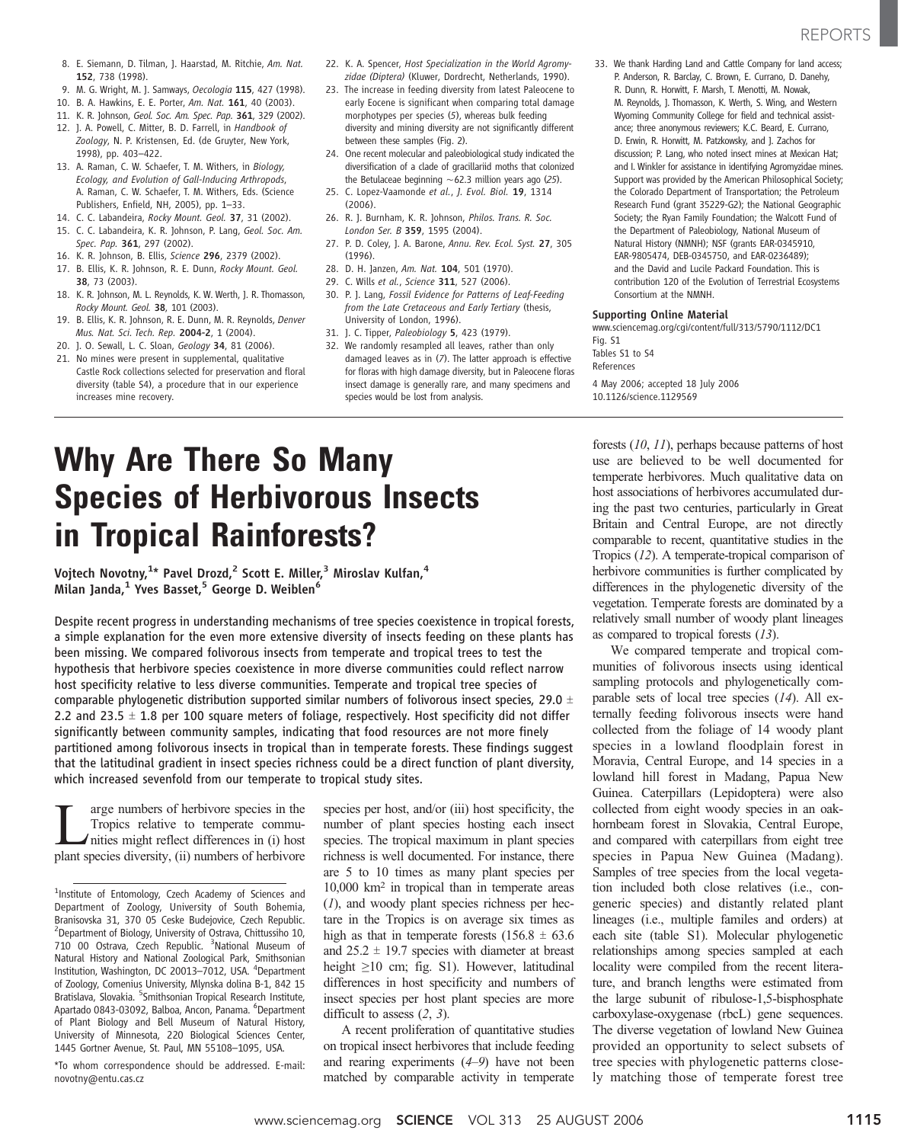- 8. E. Siemann, D. Tilman, J. Haarstad, M. Ritchie, Am. Nat. 152, 738 (1998).
- 9. M. G. Wright, M. J. Samways, Oecologia 115, 427 (1998).
- 10. B. A. Hawkins, E. E. Porter, Am. Nat. 161, 40 (2003).
- 11. K. R. Johnson, Geol. Soc. Am. Spec. Pap. 361, 329 (2002).
- 12. J. A. Powell, C. Mitter, B. D. Farrell, in Handbook of Zoology, N. P. Kristensen, Ed. (de Gruyter, New York, 1998), pp. 403–422.
- 13. A. Raman, C. W. Schaefer, T. M. Withers, in Biology, Ecology, and Evolution of Gall-Inducing Arthropods, A. Raman, C. W. Schaefer, T. M. Withers, Eds. (Science Publishers, Enfield, NH, 2005), pp. 1–33.
- 14. C. C. Labandeira, Rocky Mount. Geol. 37, 31 (2002).
- 15. C. C. Labandeira, K. R. Johnson, P. Lang, Geol. Soc. Am. Spec. Pap. 361, 297 (2002).
- 16. K. R. Johnson, B. Ellis, Science 296, 2379 (2002).
- 17. B. Ellis, K. R. Johnson, R. E. Dunn, Rocky Mount. Geol. 38, 73 (2003).
- 18. K. R. Johnson, M. L. Reynolds, K. W. Werth, J. R. Thomasson, Rocky Mount. Geol. 38, 101 (2003).
- 19. B. Ellis, K. R. Johnson, R. E. Dunn, M. R. Reynolds, Denver Mus. Nat. Sci. Tech. Rep. 2004-2, 1 (2004).
- 20. J. O. Sewall, L. C. Sloan, Geology 34, 81 (2006). 21. No mines were present in supplemental, qualitative
- Castle Rock collections selected for preservation and floral diversity (table S4), a procedure that in our experience increases mine recovery.
- 22. K. A. Spencer, Host Specialization in the World Agromyzidae (Diptera) (Kluwer, Dordrecht, Netherlands, 1990).
- 23. The increase in feeding diversity from latest Paleocene to early Eocene is significant when comparing total damage morphotypes per species (5), whereas bulk feeding diversity and mining diversity are not significantly different between these samples (Fig. 2).
- 24. One recent molecular and paleobiological study indicated the diversification of a clade of gracillariid moths that colonized the Betulaceae beginning  $\sim$  62.3 million years ago (25).
- 25. C. Lopez-Vaamonde et al., J. Evol. Biol. 19, 1314 (2006).
- 26. R. J. Burnham, K. R. Johnson, Philos. Trans. R. Soc. London Ser. B 359, 1595 (2004).
- 27. P. D. Coley, J. A. Barone, Annu. Rev. Ecol. Syst. 27, 305 (1996).
- 28. D. H. Janzen, Am. Nat. 104, 501 (1970).
- 29. C. Wills et al., Science 311, 527 (2006).
- 30. P. J. Lang, Fossil Evidence for Patterns of Leaf-Feeding from the Late Cretaceous and Early Tertiary (thesis, University of London, 1996).
- 31. J. C. Tipper, Paleobiology 5, 423 (1979).
- 32. We randomly resampled all leaves, rather than only damaged leaves as in (7). The latter approach is effective for floras with high damage diversity, but in Paleocene floras insect damage is generally rare, and many specimens and species would be lost from analysis.
- 33. We thank Harding Land and Cattle Company for land access; P. Anderson, R. Barclay, C. Brown, E. Currano, D. Danehy, R. Dunn, R. Horwitt, F. Marsh, T. Menotti, M. Nowak, M. Reynolds, J. Thomasson, K. Werth, S. Wing, and Western Wyoming Community College for field and technical assistance; three anonymous reviewers; K.C. Beard, E. Currano, D. Erwin, R. Horwitt, M. Patzkowsky, and J. Zachos for discussion; P. Lang, who noted insect mines at Mexican Hat; and I. Winkler for assistance in identifying Agromyzidae mines. Support was provided by the American Philosophical Society; the Colorado Department of Transportation; the Petroleum Research Fund (grant 35229-G2); the National Geographic Society; the Ryan Family Foundation; the Walcott Fund of the Department of Paleobiology, National Museum of Natural History (NMNH); NSF (grants EAR-0345910, EAR-9805474, DEB-0345750, and EAR-0236489); and the David and Lucile Packard Foundation. This is contribution 120 of the Evolution of Terrestrial Ecosystems Consortium at the NMNH.

#### Supporting Online Material

www.sciencemag.org/cgi/content/full/313/5790/1112/DC1 Fig. S1 Tables S1 to S4 References 4 May 2006; accepted 18 July 2006 10.1126/science.1129569

## Why Are There So Many Species of Herbivorous Insects in Tropical Rainforests?

Vojtech Novotny, $^{1\star}$  Pavel Drozd, $^2$  Scott E. Miller, $^3$  Miroslav Kulfan, $^4$ Milan Janda, $<sup>1</sup>$  Yves Basset, $<sup>5</sup>$  George D. Weiblen<sup>6</sup></sup></sup>

Despite recent progress in understanding mechanisms of tree species coexistence in tropical forests, a simple explanation for the even more extensive diversity of insects feeding on these plants has been missing. We compared folivorous insects from temperate and tropical trees to test the hypothesis that herbivore species coexistence in more diverse communities could reflect narrow host specificity relative to less diverse communities. Temperate and tropical tree species of comparable phylogenetic distribution supported similar numbers of folivorous insect species, 29.0  $\pm$ 2.2 and 23.5  $\pm$  1.8 per 100 square meters of foliage, respectively. Host specificity did not differ significantly between community samples, indicating that food resources are not more finely partitioned among folivorous insects in tropical than in temperate forests. These findings suggest that the latitudinal gradient in insect species richness could be a direct function of plant diversity, which increased sevenfold from our temperate to tropical study sites.

arge numbers of herbivore species in the Tropics relative to temperate communities might reflect differences in (i) host plant species diversity, (ii) numbers of herbivore

\*To whom correspondence should be addressed. E-mail: novotny@entu.cas.cz

species per host, and/or (iii) host specificity, the number of plant species hosting each insect species. The tropical maximum in plant species richness is well documented. For instance, there are 5 to 10 times as many plant species per 10,000 km2 in tropical than in temperate areas  $(1)$ , and woody plant species richness per hectare in the Tropics is on average six times as high as that in temperate forests  $(156.8 \pm 63.6$ and  $25.2 \pm 19.7$  species with diameter at breast height  $\geq 10$  cm; fig. S1). However, latitudinal differences in host specificity and numbers of insect species per host plant species are more difficult to assess  $(2, 3)$ .

A recent proliferation of quantitative studies on tropical insect herbivores that include feeding and rearing experiments (4–9) have not been matched by comparable activity in temperate

forests (10, 11), perhaps because patterns of host use are believed to be well documented for temperate herbivores. Much qualitative data on host associations of herbivores accumulated during the past two centuries, particularly in Great Britain and Central Europe, are not directly comparable to recent, quantitative studies in the Tropics (12). A temperate-tropical comparison of herbivore communities is further complicated by differences in the phylogenetic diversity of the vegetation. Temperate forests are dominated by a relatively small number of woody plant lineages as compared to tropical forests (13).

We compared temperate and tropical communities of folivorous insects using identical sampling protocols and phylogenetically comparable sets of local tree species  $(14)$ . All externally feeding folivorous insects were hand collected from the foliage of 14 woody plant species in a lowland floodplain forest in Moravia, Central Europe, and 14 species in a lowland hill forest in Madang, Papua New Guinea. Caterpillars (Lepidoptera) were also collected from eight woody species in an oakhornbeam forest in Slovakia, Central Europe, and compared with caterpillars from eight tree species in Papua New Guinea (Madang). Samples of tree species from the local vegetation included both close relatives (i.e., congeneric species) and distantly related plant lineages (i.e., multiple familes and orders) at each site (table S1). Molecular phylogenetic relationships among species sampled at each locality were compiled from the recent literature, and branch lengths were estimated from the large subunit of ribulose-1,5-bisphosphate carboxylase-oxygenase (rbcL) gene sequences. The diverse vegetation of lowland New Guinea provided an opportunity to select subsets of tree species with phylogenetic patterns closely matching those of temperate forest tree

<sup>&</sup>lt;sup>1</sup>Institute of Entomology, Czech Academy of Sciences and Department of Zoology, University of South Bohemia, Branisovska 31, 370 05 Ceske Budejovice, Czech Republic. <sup>2</sup> Department of Biology, University of Ostrava, Chittussiho 10, 710 00 Ostrava, Czech Republic. <sup>3</sup>National Museum of Natural History and National Zoological Park, Smithsonian Institution, Washington, DC 20013-7012, USA. <sup>4</sup>Department of Zoology, Comenius University, Mlynska dolina B-1, 842 15 Bratislava, Slovakia. <sup>5</sup>Smithsonian Tropical Research Institute, Apartado 0843-03092, Balboa, Ancon, Panama. <sup>6</sup>Department of Plant Biology and Bell Museum of Natural History, University of Minnesota, 220 Biological Sciences Center, 1445 Gortner Avenue, St. Paul, MN 55108–1095, USA.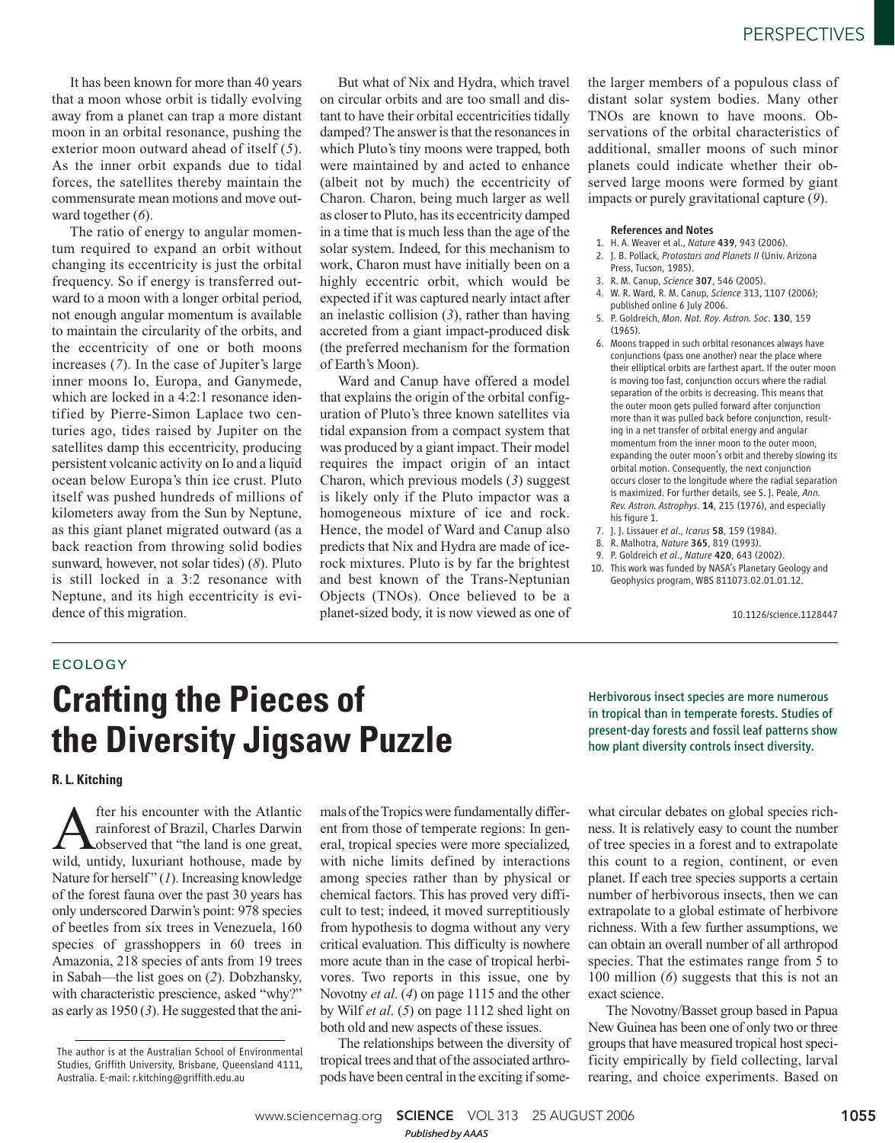It has been known for more than 40 years that a moon whose orbit is tidally evolving away from a planet can trap a more distant moon in an orbital resonance, pushing the exterior moon outward ahead of itself (*5*). As the inner orbit expands due to tidal forces, the satellites thereby maintain the commensurate mean motions and move outward together (*6*).

The ratio of energy to angular momentum required to expand an orbit without changing its eccentricity is just the orbital frequency. So if energy is transferred outward to a moon with a longer orbital period, not enough angular momentum is available to maintain the circularity of the orbits, and the eccentricity of one or both moons increases (*7*). In the case of Jupiter's large inner moons Io, Europa, and Ganymede, which are locked in a 4:2:1 resonance identified by Pierre-Simon Laplace two centuries ago, tides raised by Jupiter on the satellites damp this eccentricity, producing persistent volcanic activity on Io and a liquid ocean below Europa's thin ice crust. Pluto itself was pushed hundreds of millions of kilometers away from the Sun by Neptune, as this giant planet migrated outward (as a back reaction from throwing solid bodies sunward, however, not solar tides) (*8*). Pluto is still locked in a 3:2 resonance with Neptune, and its high eccentricity is evidence of this migration.

But what of Nix and Hydra, which travel on circular orbits and are too small and distant to have their orbital eccentricities tidally damped? The answer is that the resonances in which Pluto's tiny moons were trapped, both were maintained by and acted to enhance (albeit not by much) the eccentricity of Charon. Charon, being much larger as well as closer to Pluto, has its eccentricity damped in a time that is much less than the age of the solar system. Indeed, for this mechanism to work, Charon must have initially been on a highly eccentric orbit, which would be expected if it was captured nearly intact after an inelastic collision (*3*), rather than having accreted from a giant impact-produced disk (the preferred mechanism for the formation of Earth's Moon).

Ward and Canup have offered a model that explains the origin of the orbital configuration of Pluto's three known satellites via tidal expansion from a compact system that was produced by a giant impact. Their model requires the impact origin of an intact Charon, which previous models (*3*) suggest is likely only if the Pluto impactor was a homogeneous mixture of ice and rock. Hence, the model of Ward and Canup also predicts that Nix and Hydra are made of icerock mixtures. Pluto is by far the brightest and best known of the Trans-Neptunian Objects (TNOs). Once believed to be a planet-sized body, it is now viewed as one of the larger members of a populous class of distant solar system bodies. Many other TNOs are known to have moons. Observations of the orbital characteristics of additional, smaller moons of such minor planets could indicate whether their observed large moons were formed by giant impacts or purely gravitational capture (*9*).

#### References and Notes

- 1. H. A. Weaver et al., *Nature* 439, 943 (2006).
- 2. J. B. Pollack, *Protostars and Planets II* (Univ. Arizona Press, Tucson, 1985).
- 3. R. M. Canup, *Science* 307, 546 (2005).
- 4. W. R. Ward, R. M. Canup, *Science* 313, 1107 (2006); published online 6 July 2006.
- 5. P. Goldreich, *Mon. Not. Roy. Astron. Soc*. 130, 159 (1965).
- 6. Moons trapped in such orbital resonances always have conjunctions (pass one another) near the place where their elliptical orbits are farthest apart. If the outer moon is moving too fast, conjunction occurs where the radial separation of the orbits is decreasing. This means that the outer moon gets pulled forward after conjunction more than it was pulled back before conjunction, resulting in a net transfer of orbital energy and angular momentum from the inner moon to the outer moon, expanding the outer moon's orbit and thereby slowing its orbital motion. Consequently, the next conjunction occurs closer to the longitude where the radial separation is maximized. For further details, see S. J. Peale, *Ann. Rev. Astron. Astrophys*. 14, 215 (1976), and especially his figure 1.
- 7. J. J. Lissauer *et al*., *Icarus* 58, 159 (1984).
- 8. R. Malhotra, *Nature* 365, 819 (1993).
- 9. P. Goldreich *et al*., *Nature* 420, 643 (2002).
- 10. This work was funded by NASA's Planetary Geology and Geophysics program, WBS 811073.02.01.01.12.

10.1126/science.1128447

### ECOLOGY

# **Crafting the Pieces of the Diversity Jigsaw Puzzle**

Herbivorous insect species are more numerous in tropical than in temperate forests. Studies of present-day forests and fossil leaf patterns show how plant diversity controls insect diversity.

**R. L. Kitching**

**A** fter his encounter with the Atlantic<br>rainforest of Brazil, Charles Darwin<br>wild, untidy, luxuriant hothouse, made by fter his encounter with the Atlantic rainforest of Brazil, Charles Darwin observed that "the land is one great, Nature for herself" (1). Increasing knowledge of the forest fauna over the past 30 years has only underscored Darwin's point: 978 species of beetles from six trees in Venezuela, 160 species of grasshoppers in 60 trees in Amazonia, 218 species of ants from 19 trees in Sabah—the list goes on (*2*). Dobzhansky, with characteristic prescience, asked "why?" as early as 1950 (*3*). He suggested that the ani-

mals of the Tropics were fundamentally different from those of temperate regions: In general, tropical species were more specialized, with niche limits defined by interactions among species rather than by physical or chemical factors. This has proved very difficult to test; indeed, it moved surreptitiously from hypothesis to dogma without any very critical evaluation. This difficulty is nowhere more acute than in the case of tropical herbivores. Two reports in this issue, one by Novotny *et al*. (*4*) on page 1115 and the other by Wilf *et al*. (*5*) on page 1112 shed light on both old and new aspects of these issues.

The relationships between the diversity of tropical trees and that of the associated arthropods have been central in the exciting if somewhat circular debates on global species richness. It is relatively easy to count the number of tree species in a forest and to extrapolate this count to a region, continent, or even planet. If each tree species supports a certain number of herbivorous insects, then we can extrapolate to a global estimate of herbivore richness. With a few further assumptions, we can obtain an overall number of all arthropod species. That the estimates range from 5 to 100 million (*6*) suggests that this is not an exact science.

The Novotny/Basset group based in Papua New Guinea has been one of only two or three groups that have measured tropical host specificity empirically by field collecting, larval rearing, and choice experiments. Based on

The author is at the Australian School of Environmental Studies, Griffith University, Brisbane, Queensland 4111, Australia. E-mail: r.kitching@griffith.edu.au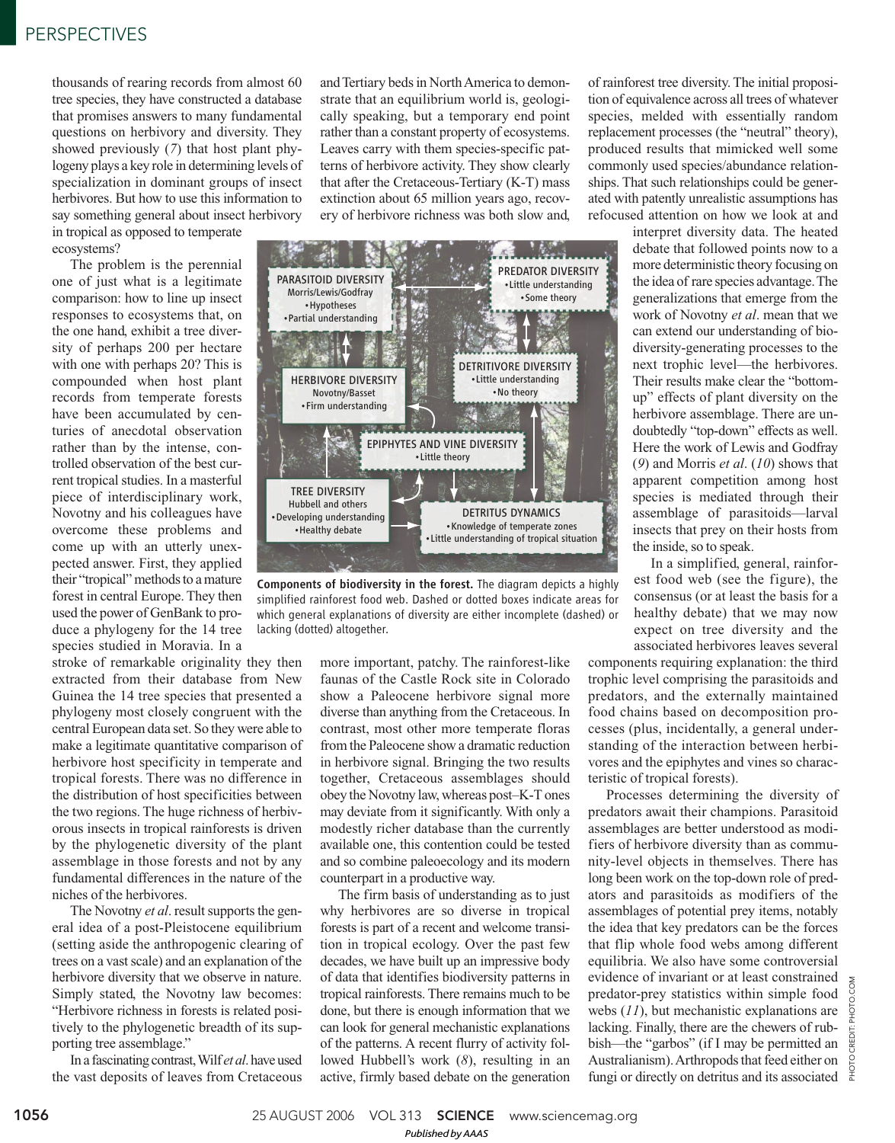## PERSPECTIVES

thousands of rearing records from almost 60 tree species, they have constructed a database that promises answers to many fundamental questions on herbivory and diversity. They showed previously (*7*) that host plant phylogeny plays a key role in determining levels of specialization in dominant groups of insect herbivores. But how to use this information to say something general about insect herbivory

in tropical as opposed to temperate ecosystems?

The problem is the perennial one of just what is a legitimate comparison: how to line up insect responses to ecosystems that, on the one hand, exhibit a tree diversity of perhaps 200 per hectare with one with perhaps 20? This is compounded when host plant records from temperate forests have been accumulated by centuries of anecdotal observation rather than by the intense, controlled observation of the best current tropical studies. In a masterful piece of interdisciplinary work, Novotny and his colleagues have overcome these problems and come up with an utterly unexpected answer. First, they applied their "tropical" methods to a mature forest in central Europe. They then used the power of GenBank to produce a phylogeny for the 14 tree species studied in Moravia. In a

stroke of remarkable originality they then extracted from their database from New Guinea the 14 tree species that presented a phylogeny most closely congruent with the central European data set. So they were able to make a legitimate quantitative comparison of herbivore host specificity in temperate and tropical forests. There was no difference in the distribution of host specificities between the two regions. The huge richness of herbivorous insects in tropical rainforests is driven by the phylogenetic diversity of the plant assemblage in those forests and not by any fundamental differences in the nature of the niches of the herbivores.

The Novotny *et al*. result supports the general idea of a post-Pleistocene equilibrium (setting aside the anthropogenic clearing of trees on a vast scale) and an explanation of the herbivore diversity that we observe in nature. Simply stated, the Novotny law becomes: "Herbivore richness in forests is related positively to the phylogenetic breadth of its supporting tree assemblage."

In a fascinating contrast, Wilf *et al*. have used the vast deposits of leaves from Cretaceous

and Tertiary beds in North America to demonstrate that an equilibrium world is, geologically speaking, but a temporary end point rather than a constant property of ecosystems. Leaves carry with them species-specific patterns of herbivore activity. They show clearly that after the Cretaceous-Tertiary (K-T) mass extinction about 65 million years ago, recovery of herbivore richness was both slow and,



Components of biodiversity in the forest. The diagram depicts a highly simplified rainforest food web. Dashed or dotted boxes indicate areas for which general explanations of diversity are either incomplete (dashed) or lacking (dotted) altogether.

more important, patchy. The rainforest-like faunas of the Castle Rock site in Colorado show a Paleocene herbivore signal more diverse than anything from the Cretaceous. In contrast, most other more temperate floras from the Paleocene show a dramatic reduction in herbivore signal. Bringing the two results together, Cretaceous assemblages should obey the Novotny law, whereas post–K-T ones may deviate from it significantly. With only a modestly richer database than the currently available one, this contention could be tested and so combine paleoecology and its modern counterpart in a productive way.

The firm basis of understanding as to just why herbivores are so diverse in tropical forests is part of a recent and welcome transition in tropical ecology. Over the past few decades, we have built up an impressive body of data that identifies biodiversity patterns in tropical rainforests. There remains much to be done, but there is enough information that we can look for general mechanistic explanations of the patterns. A recent flurry of activity followed Hubbell's work (*8*), resulting in an active, firmly based debate on the generation

of rainforest tree diversity. The initial proposition of equivalence across all trees of whatever species, melded with essentially random replacement processes (the "neutral" theory), produced results that mimicked well some commonly used species/abundance relationships. That such relationships could be generated with patently unrealistic assumptions has refocused attention on how we look at and

interpret diversity data. The heated debate that followed points now to a more deterministic theory focusing on the idea of rare species advantage. The generalizations that emerge from the work of Novotny *et al*. mean that we can extend our understanding of biodiversity-generating processes to the next trophic level—the herbivores. Their results make clear the "bottomup" effects of plant diversity on the herbivore assemblage. There are undoubtedly "top-down" effects as well. Here the work of Lewis and Godfray (*9*) and Morris *et al*. (*10*) shows that apparent competition among host species is mediated through their assemblage of parasitoids—larval insects that prey on their hosts from the inside, so to speak.

In a simplified, general, rainforest food web (see the figure), the consensus (or at least the basis for a healthy debate) that we may now expect on tree diversity and the associated herbivores leaves several

components requiring explanation: the third trophic level comprising the parasitoids and predators, and the externally maintained food chains based on decomposition processes (plus, incidentally, a general understanding of the interaction between herbivores and the epiphytes and vines so characteristic of tropical forests).

Processes determining the diversity of predators await their champions. Parasitoid assemblages are better understood as modifiers of herbivore diversity than as community-level objects in themselves. There has long been work on the top-down role of predators and parasitoids as modifiers of the assemblages of potential prey items, notably the idea that key predators can be the forces that flip whole food webs among different equilibria. We also have some controversial evidence of invariant or at least constrained predator-prey statistics within simple food webs (*11*), but mechanistic explanations are lacking. Finally, there are the chewers of rubbish—the "garbos" (if I may be permitted an Australianism). Arthropods that feed either on fungi or directly on detritus and its associated